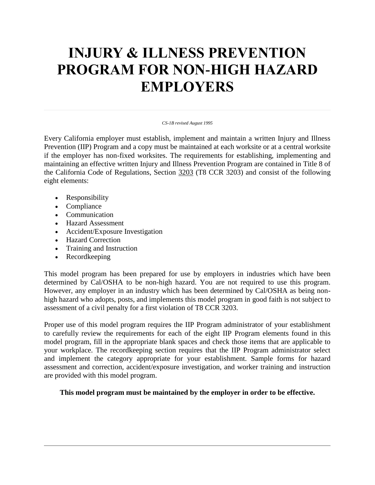# **INJURY & ILLNESS PREVENTION PROGRAM FOR NON-HIGH HAZARD EMPLOYERS**

#### *CS-1B revised August 1995*

Every California employer must establish, implement and maintain a written Injury and Illness Prevention (IIP) Program and a copy must be maintained at each worksite or at a central worksite if the employer has non-fixed worksites. The requirements for establishing, implementing and maintaining an effective written Injury and Illness Prevention Program are contained in Title 8 of the California Code of Regulations, Section [3203](file:///C:/Title8/3203.html) (T8 CCR 3203) and consist of the following eight elements:

- Responsibility
- Compliance
- Communication
- Hazard Assessment
- Accident/Exposure Investigation
- Hazard Correction
- Training and Instruction
- Recordkeeping

This model program has been prepared for use by employers in industries which have been determined by Cal/OSHA to be non-high hazard. You are not required to use this program. However, any employer in an industry which has been determined by Cal/OSHA as being nonhigh hazard who adopts, posts, and implements this model program in good faith is not subject to assessment of a civil penalty for a first violation of T8 CCR 3203.

Proper use of this model program requires the IIP Program administrator of your establishment to carefully review the requirements for each of the eight IIP Program elements found in this model program, fill in the appropriate blank spaces and check those items that are applicable to your workplace. The recordkeeping section requires that the IIP Program administrator select and implement the category appropriate for your establishment. Sample forms for hazard assessment and correction, accident/exposure investigation, and worker training and instruction are provided with this model program.

#### **This model program must be maintained by the employer in order to be effective.**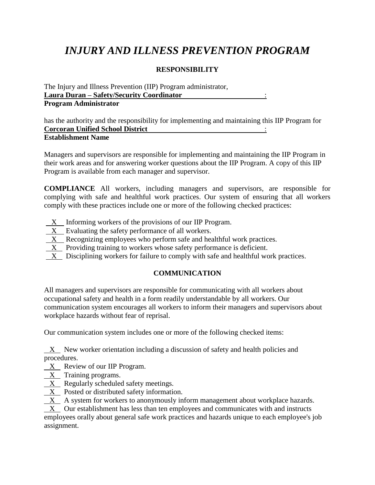## *INJURY AND ILLNESS PREVENTION PROGRAM*

### **RESPONSIBILITY**

The Injury and Illness Prevention (IIP) Program administrator, **Laura Duran – Safety/Security Coordinator** : **Program Administrator**

has the authority and the responsibility for implementing and maintaining this IIP Program for **Corcoran Unified School District** : **Establishment Name**

Managers and supervisors are responsible for implementing and maintaining the IIP Program in their work areas and for answering worker questions about the IIP Program. A copy of this IIP Program is available from each manager and supervisor.

**COMPLIANCE** All workers, including managers and supervisors, are responsible for complying with safe and healthful work practices. Our system of ensuring that all workers comply with these practices include one or more of the following checked practices:

- X Informing workers of the provisions of our IIP Program.
- X Evaluating the safety performance of all workers.
- X Recognizing employees who perform safe and healthful work practices.
- X Providing training to workers whose safety performance is deficient.
- X Disciplining workers for failure to comply with safe and healthful work practices.

### **COMMUNICATION**

All managers and supervisors are responsible for communicating with all workers about occupational safety and health in a form readily understandable by all workers. Our communication system encourages all workers to inform their managers and supervisors about workplace hazards without fear of reprisal.

Our communication system includes one or more of the following checked items:

X New worker orientation including a discussion of safety and health policies and procedures.

 $X$  Review of our IIP Program.

- $X$  Training programs.
- $X$  Regularly scheduled safety meetings.

X Posted or distributed safety information.

 $X$  A system for workers to anonymously inform management about workplace hazards.

 X Our establishment has less than ten employees and communicates with and instructs employees orally about general safe work practices and hazards unique to each employee's job assignment.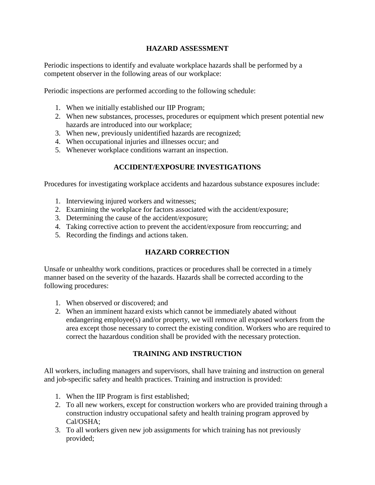#### **HAZARD ASSESSMENT**

Periodic inspections to identify and evaluate workplace hazards shall be performed by a competent observer in the following areas of our workplace:

Periodic inspections are performed according to the following schedule:

- 1. When we initially established our IIP Program;
- 2. When new substances, processes, procedures or equipment which present potential new hazards are introduced into our workplace;
- 3. When new, previously unidentified hazards are recognized;
- 4. When occupational injuries and illnesses occur; and
- 5. Whenever workplace conditions warrant an inspection.

#### **ACCIDENT/EXPOSURE INVESTIGATIONS**

Procedures for investigating workplace accidents and hazardous substance exposures include:

- 1. Interviewing injured workers and witnesses;
- 2. Examining the workplace for factors associated with the accident/exposure;
- 3. Determining the cause of the accident/exposure;
- 4. Taking corrective action to prevent the accident/exposure from reoccurring; and
- 5. Recording the findings and actions taken.

#### **HAZARD CORRECTION**

Unsafe or unhealthy work conditions, practices or procedures shall be corrected in a timely manner based on the severity of the hazards. Hazards shall be corrected according to the following procedures:

- 1. When observed or discovered; and
- 2. When an imminent hazard exists which cannot be immediately abated without endangering employee(s) and/or property, we will remove all exposed workers from the area except those necessary to correct the existing condition. Workers who are required to correct the hazardous condition shall be provided with the necessary protection.

#### **TRAINING AND INSTRUCTION**

All workers, including managers and supervisors, shall have training and instruction on general and job-specific safety and health practices. Training and instruction is provided:

- 1. When the IIP Program is first established;
- 2. To all new workers, except for construction workers who are provided training through a construction industry occupational safety and health training program approved by Cal/OSHA;
- 3. To all workers given new job assignments for which training has not previously provided;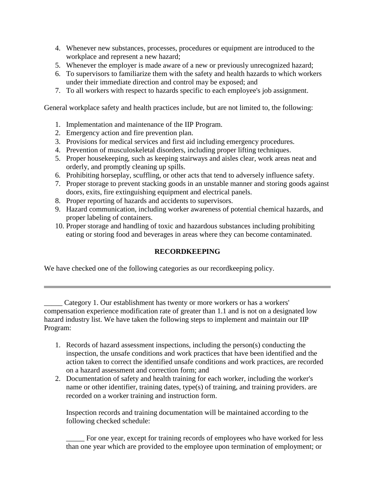- 4. Whenever new substances, processes, procedures or equipment are introduced to the workplace and represent a new hazard;
- 5. Whenever the employer is made aware of a new or previously unrecognized hazard;
- 6. To supervisors to familiarize them with the safety and health hazards to which workers under their immediate direction and control may be exposed; and
- 7. To all workers with respect to hazards specific to each employee's job assignment.

General workplace safety and health practices include, but are not limited to, the following:

- 1. Implementation and maintenance of the IIP Program.
- 2. Emergency action and fire prevention plan.
- 3. Provisions for medical services and first aid including emergency procedures.
- 4. Prevention of musculoskeletal disorders, including proper lifting techniques.
- 5. Proper housekeeping, such as keeping stairways and aisles clear, work areas neat and orderly, and promptly cleaning up spills.
- 6. Prohibiting horseplay, scuffling, or other acts that tend to adversely influence safety.
- 7. Proper storage to prevent stacking goods in an unstable manner and storing goods against doors, exits, fire extinguishing equipment and electrical panels.
- 8. Proper reporting of hazards and accidents to supervisors.
- 9. Hazard communication, including worker awareness of potential chemical hazards, and proper labeling of containers.
- 10. Proper storage and handling of toxic and hazardous substances including prohibiting eating or storing food and beverages in areas where they can become contaminated.

### **RECORDKEEPING**

We have checked one of the following categories as our recordkeeping policy.

Category 1. Our establishment has twenty or more workers or has a workers' compensation experience modification rate of greater than 1.1 and is not on a designated low hazard industry list. We have taken the following steps to implement and maintain our IIP Program:

- 1. Records of hazard assessment inspections, including the person(s) conducting the inspection, the unsafe conditions and work practices that have been identified and the action taken to correct the identified unsafe conditions and work practices, are recorded on a hazard assessment and correction form; and
- 2. Documentation of safety and health training for each worker, including the worker's name or other identifier, training dates, type(s) of training, and training providers. are recorded on a worker training and instruction form.

Inspection records and training documentation will be maintained according to the following checked schedule:

\_\_\_\_\_ For one year, except for training records of employees who have worked for less than one year which are provided to the employee upon termination of employment; or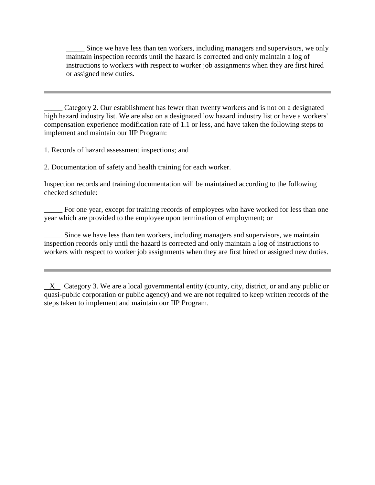Since we have less than ten workers, including managers and supervisors, we only maintain inspection records until the hazard is corrected and only maintain a log of instructions to workers with respect to worker job assignments when they are first hired or assigned new duties.

Category 2. Our establishment has fewer than twenty workers and is not on a designated high hazard industry list. We are also on a designated low hazard industry list or have a workers' compensation experience modification rate of 1.1 or less, and have taken the following steps to implement and maintain our IIP Program:

1. Records of hazard assessment inspections; and

2. Documentation of safety and health training for each worker.

Inspection records and training documentation will be maintained according to the following checked schedule:

For one year, except for training records of employees who have worked for less than one year which are provided to the employee upon termination of employment; or

Since we have less than ten workers, including managers and supervisors, we maintain inspection records only until the hazard is corrected and only maintain a log of instructions to workers with respect to worker job assignments when they are first hired or assigned new duties.

 X Category 3. We are a local governmental entity (county, city, district, or and any public or quasi-public corporation or public agency) and we are not required to keep written records of the steps taken to implement and maintain our IIP Program.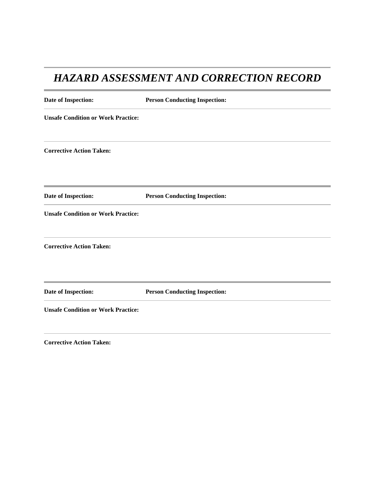### *HAZARD ASSESSMENT AND CORRECTION RECORD*

| Date of Inspection:                       | <b>Person Conducting Inspection:</b> |
|-------------------------------------------|--------------------------------------|
| <b>Unsafe Condition or Work Practice:</b> |                                      |
| <b>Corrective Action Taken:</b>           |                                      |
| Date of Inspection:                       | <b>Person Conducting Inspection:</b> |
| <b>Unsafe Condition or Work Practice:</b> |                                      |
| <b>Corrective Action Taken:</b>           |                                      |
| Date of Inspection:                       | <b>Person Conducting Inspection:</b> |
| <b>Unsafe Condition or Work Practice:</b> |                                      |

**Corrective Action Taken:**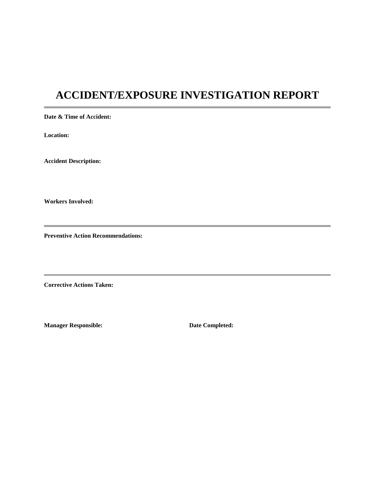### **ACCIDENT/EXPOSURE INVESTIGATION REPORT**

**Date & Time of Accident:**

**Location:**

**Accident Description:**

**Workers Involved:**

**Preventive Action Recommendations:**

**Corrective Actions Taken:**

**Manager Responsible: Date Completed:**